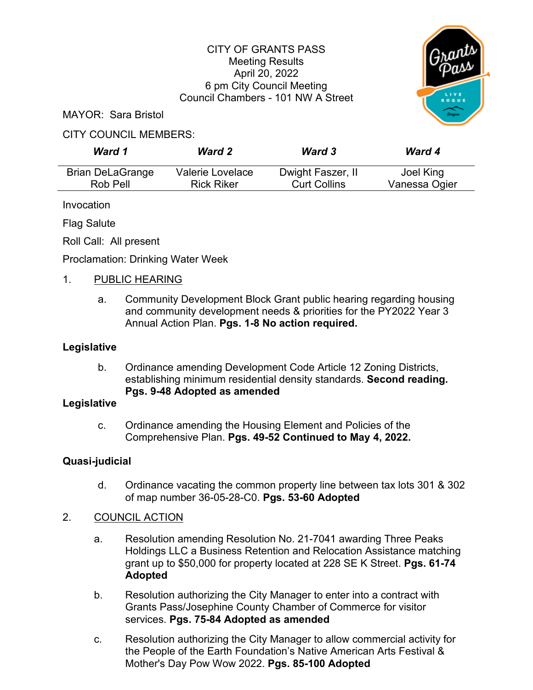# CITY OF GRANTS PASS Meeting Results April 20, 2022 6 pm City Council Meeting Council Chambers - 101 NW A Street



MAYOR: Sara Bristol

# CITY COUNCIL MEMBERS:

| Ward 1                  | <b>Ward 2</b>     | <b>Ward 3</b>       | <b>Ward 4</b> |
|-------------------------|-------------------|---------------------|---------------|
| <b>Brian DeLaGrange</b> | Valerie Lovelace  | Dwight Faszer, II   | Joel King     |
| Rob Pell                | <b>Rick Riker</b> | <b>Curt Collins</b> | Vanessa Ogier |

Invocation

Flag Salute

Roll Call: All present

Proclamation: Drinking Water Week

# 1. PUBLIC HEARING

a. Community Development Block Grant public hearing regarding housing and community development needs & priorities for the PY2022 Year 3 Annual Action Plan. **Pgs. 1-8 No action required.**

### **Legislative**

b. Ordinance amending Development Code Article 12 Zoning Districts, establishing minimum residential density standards. **Second reading. Pgs. 9-48 Adopted as amended** 

### **Legislative**

c. Ordinance amending the Housing Element and Policies of the Comprehensive Plan. **Pgs. 49-52 Continued to May 4, 2022.**

# **Quasi-judicial**

d. Ordinance vacating the common property line between tax lots 301 & 302 of map number 36-05-28-C0. **Pgs. 53-60 Adopted**

# 2. COUNCIL ACTION

- a. Resolution amending Resolution No. 21-7041 awarding Three Peaks Holdings LLC a Business Retention and Relocation Assistance matching grant up to \$50,000 for property located at 228 SE K Street. **Pgs. 61-74 Adopted**
- b. Resolution authorizing the City Manager to enter into a contract with Grants Pass/Josephine County Chamber of Commerce for visitor services. **Pgs. 75-84 Adopted as amended**
- c. Resolution authorizing the City Manager to allow commercial activity for the People of the Earth Foundation's Native American Arts Festival & Mother's Day Pow Wow 2022. **Pgs. 85-100 Adopted**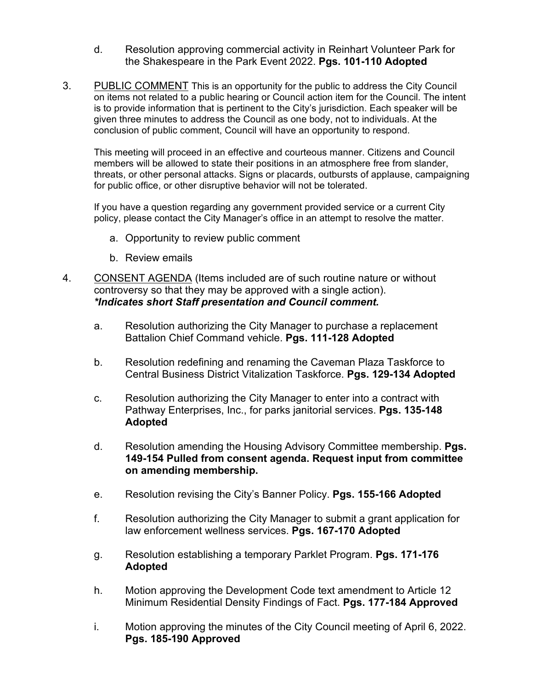- d. Resolution approving commercial activity in Reinhart Volunteer Park for the Shakespeare in the Park Event 2022. **Pgs. 101-110 Adopted**
- 3. PUBLIC COMMENT This is an opportunity for the public to address the City Council on items not related to a public hearing or Council action item for the Council. The intent is to provide information that is pertinent to the City's jurisdiction. Each speaker will be given three minutes to address the Council as one body, not to individuals. At the conclusion of public comment, Council will have an opportunity to respond.

This meeting will proceed in an effective and courteous manner. Citizens and Council members will be allowed to state their positions in an atmosphere free from slander, threats, or other personal attacks. Signs or placards, outbursts of applause, campaigning for public office, or other disruptive behavior will not be tolerated.

If you have a question regarding any government provided service or a current City policy, please contact the City Manager's office in an attempt to resolve the matter.

- a. Opportunity to review public comment
- b. Review emails
- 4. CONSENT AGENDA (Items included are of such routine nature or without controversy so that they may be approved with a single action). *\*Indicates short Staff presentation and Council comment.*
	- a. Resolution authorizing the City Manager to purchase a replacement Battalion Chief Command vehicle. **Pgs. 111-128 Adopted**
	- b. Resolution redefining and renaming the Caveman Plaza Taskforce to Central Business District Vitalization Taskforce. **Pgs. 129-134 Adopted**
	- c. Resolution authorizing the City Manager to enter into a contract with Pathway Enterprises, Inc., for parks janitorial services. **Pgs. 135-148 Adopted**
	- d. Resolution amending the Housing Advisory Committee membership. **Pgs. 149-154 Pulled from consent agenda. Request input from committee on amending membership.**
	- e. Resolution revising the City's Banner Policy. **Pgs. 155-166 Adopted**
	- f. Resolution authorizing the City Manager to submit a grant application for law enforcement wellness services. **Pgs. 167-170 Adopted**
	- g. Resolution establishing a temporary Parklet Program. **Pgs. 171-176 Adopted**
	- h. Motion approving the Development Code text amendment to Article 12 Minimum Residential Density Findings of Fact. **Pgs. 177-184 Approved**
	- i. Motion approving the minutes of the City Council meeting of April 6, 2022. **Pgs. 185-190 Approved**